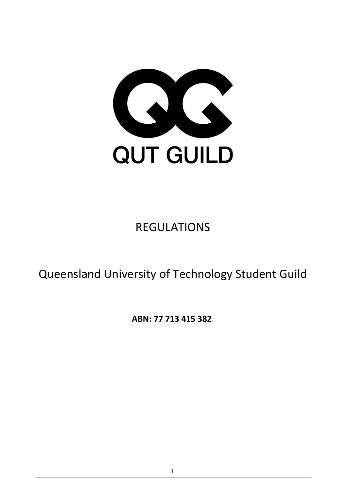

# REGULATIONS

# Queensland University of Technology Student Guild

**ABN: 77 713 415 382**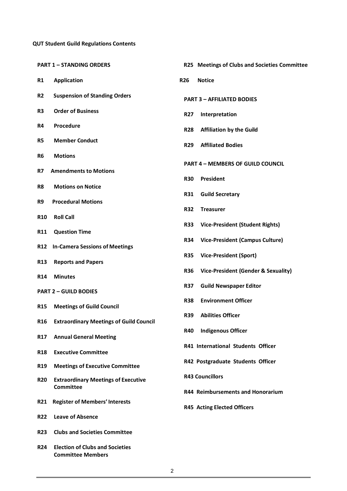# **QUT Student Guild Regulations Contents**

|                 | <b>PART 1 - STANDING ORDERS</b>                                    |            | R25 Meetings of Clubs and Societies Committee               |  |
|-----------------|--------------------------------------------------------------------|------------|-------------------------------------------------------------|--|
| R1              | <b>Application</b>                                                 | <b>R26</b> | <b>Notice</b>                                               |  |
| R <sub>2</sub>  | <b>Suspension of Standing Orders</b>                               |            | <b>PART 3 - AFFILIATED BODIES</b>                           |  |
| R <sub>3</sub>  | <b>Order of Business</b>                                           | <b>R27</b> | Interpretation                                              |  |
| R4              | Procedure                                                          | <b>R28</b> | <b>Affiliation by the Guild</b>                             |  |
| R5              | <b>Member Conduct</b>                                              | <b>R29</b> | <b>Affiliated Bodies</b>                                    |  |
| R6              | <b>Motions</b>                                                     |            | <b>PART 4 - MEMBERS OF GUILD COUNCIL</b>                    |  |
| R7              | <b>Amendments to Motions</b>                                       | <b>R30</b> | President                                                   |  |
| R8              | <b>Motions on Notice</b>                                           | <b>R31</b> | <b>Guild Secretary</b>                                      |  |
| R9              | <b>Procedural Motions</b>                                          | <b>R32</b> | <b>Treasurer</b>                                            |  |
| <b>R10</b>      | <b>Roll Call</b>                                                   | <b>R33</b> | <b>Vice-President (Student Rights)</b>                      |  |
| R11             | <b>Question Time</b>                                               | <b>R34</b> | <b>Vice-President (Campus Culture)</b>                      |  |
| <b>R12</b>      | <b>In-Camera Sessions of Meetings</b>                              | <b>R35</b> | <b>Vice-President (Sport)</b>                               |  |
| R <sub>13</sub> | <b>Reports and Papers</b>                                          | <b>R36</b> | <b>Vice-President (Gender &amp; Sexuality)</b>              |  |
| <b>R14</b>      | <b>Minutes</b>                                                     | <b>R37</b> | <b>Guild Newspaper Editor</b>                               |  |
|                 | <b>PART 2 - GUILD BODIES</b>                                       | <b>R38</b> | <b>Environment Officer</b>                                  |  |
| R <sub>15</sub> | <b>Meetings of Guild Council</b>                                   | <b>R39</b> | <b>Abilities Officer</b>                                    |  |
| R <sub>16</sub> | <b>Extraordinary Meetings of Guild Council</b>                     | <b>R40</b> | <b>Indigenous Officer</b>                                   |  |
| R17             | <b>Annual General Meeting</b>                                      |            | R41 International Students Officer                          |  |
| R <sub>18</sub> | <b>Executive Committee</b>                                         |            |                                                             |  |
| R <sub>19</sub> | <b>Meetings of Executive Committee</b>                             |            | R42 Postgraduate Students Officer<br><b>R43 Councillors</b> |  |
| <b>R20</b>      | <b>Extraordinary Meetings of Executive</b><br><b>Committee</b>     |            |                                                             |  |
| R21             | <b>Register of Members' Interests</b>                              |            | <b>R44 Reimbursements and Honorarium</b>                    |  |
| <b>R22</b>      | <b>Leave of Absence</b>                                            |            | <b>R45 Acting Elected Officers</b>                          |  |
| <b>R23</b>      | <b>Clubs and Societies Committee</b>                               |            |                                                             |  |
| <b>R24</b>      | <b>Election of Clubs and Societies</b><br><b>Committee Members</b> |            |                                                             |  |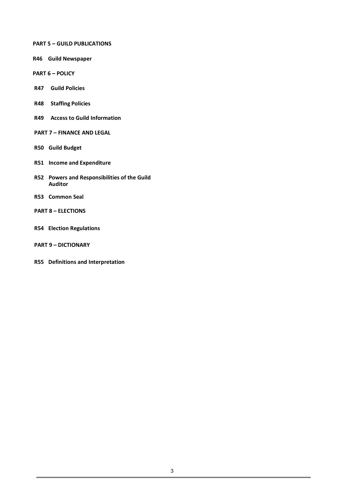**PART 5 – GUILD PUBLICATIONS**

- **R46 Guild Newspaper**
- **PART 6 – POLICY**
- **R47 Guild Policies**
- **R48 Staffing Policies**
- **R49 Access to Guild Information**
- **PART 7 – FINANCE AND LEGAL**
- **R50 Guild Budget**
- **R51 Income and Expenditure**
- **R52 Powers and Responsibilities of the Guild Auditor**
- **R53 Common Seal**
- **PART 8 – ELECTIONS**
- **R54 Election Regulations**
- **PART 9 – DICTIONARY**
- **R55 Definitions and Interpretation**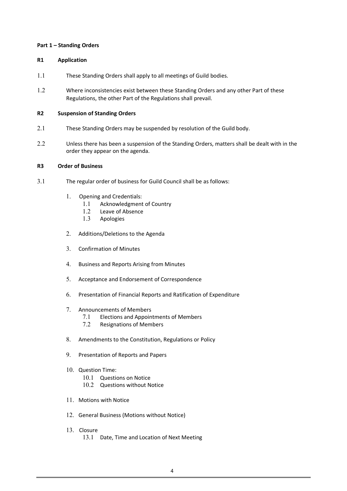## **Part 1 – Standing Orders**

## **R1 Application**

- 1.1 These Standing Orders shall apply to all meetings of Guild bodies.
- 1.2 Where inconsistencies exist between these Standing Orders and any other Part of these Regulations, the other Part of the Regulations shall prevail.

## **R2 Suspension of Standing Orders**

- 2.1 These Standing Orders may be suspended by resolution of the Guild body.
- 2.2 Unless there has been a suspension of the Standing Orders, matters shall be dealt with in the order they appear on the agenda.

# **R3 Order of Business**

- 3.1 The regular order of business for Guild Council shall be as follows:
	- 1. Opening and Credentials:
		- 1.1 Acknowledgment of Country
		- 1.2 Leave of Absence
		- 1.3 Apologies
	- 2. Additions/Deletions to the Agenda
	- 3. Confirmation of Minutes
	- 4. Business and Reports Arising from Minutes
	- 5. Acceptance and Endorsement of Correspondence
	- 6. Presentation of Financial Reports and Ratification of Expenditure
	- 7. Announcements of Members
		- 7.1 Elections and Appointments of Members
		- 7.2 Resignations of Members
	- 8. Amendments to the Constitution, Regulations or Policy
	- 9. Presentation of Reports and Papers
	- 10. Question Time:
		- 10.1 Questions on Notice
		- 10.2 Questions without Notice
	- 11. Motions with Notice
	- 12. General Business (Motions without Notice)
	- 13. Closure 13.1 Date, Time and Location of Next Meeting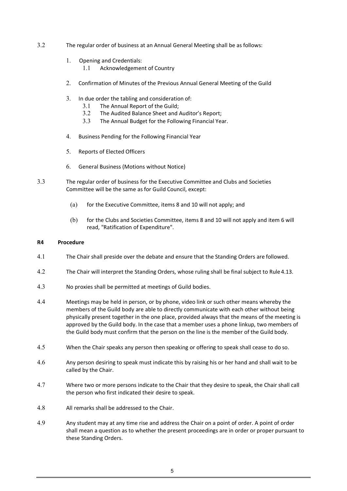- 3.2 The regular order of business at an Annual General Meeting shall be as follows:
	- 1. Opening and Credentials:
		- 1.1 Acknowledgement of Country
	- 2. Confirmation of Minutes of the Previous Annual General Meeting of the Guild
	- 3. In due order the tabling and consideration of:
		- 3.1 The Annual Report of the Guild;
		- 3.2 The Audited Balance Sheet and Auditor's Report;
		- 3.3 The Annual Budget for the Following Financial Year.
	- 4. Business Pending for the Following Financial Year
	- 5. Reports of Elected Officers
	- 6. General Business (Motions without Notice)
- 3.3 The regular order of business for the Executive Committee and Clubs and Societies Committee will be the same as for Guild Council, except:
	- (a) for the Executive Committee, items 8 and 10 will not apply; and
	- (b) for the Clubs and Societies Committee, items 8 and 10 will not apply and item 6 will read, "Ratification of Expenditure".

# **R4 Procedure**

- 4.1 The Chair shall preside over the debate and ensure that the Standing Orders are followed.
- 4.2 The Chair will interpret the Standing Orders, whose ruling shall be final subject to Rule 4.13.
- 4.3 No proxies shall be permitted at meetings of Guild bodies.
- 4.4 Meetings may be held in person, or by phone, video link or such other means whereby the members of the Guild body are able to directly communicate with each other without being physically present together in the one place, provided always that the means of the meeting is approved by the Guild body. In the case that a member uses a phone linkup, two members of the Guild body must confirm that the person on the line is the member of the Guild body.
- 4.5 When the Chair speaks any person then speaking or offering to speak shall cease to do so.
- 4.6 Any person desiring to speak must indicate this by raising his or her hand and shall wait to be called by the Chair.
- 4.7 Where two or more persons indicate to the Chair that they desire to speak, the Chair shall call the person who first indicated their desire to speak.
- 4.8 All remarks shall be addressed to the Chair.
- 4.9 Any student may at any time rise and address the Chair on a point of order. A point of order shall mean a question as to whether the present proceedings are in order or proper pursuant to these Standing Orders.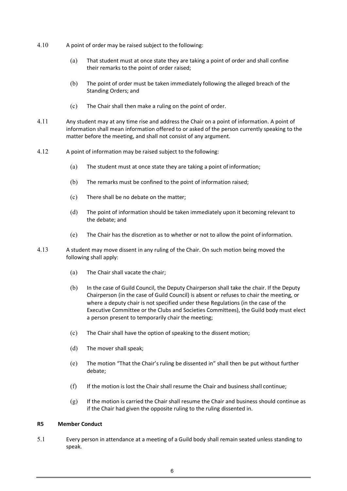- 4.10 A point of order may be raised subject to the following:
	- (a) That student must at once state they are taking a point of order and shall confine their remarks to the point of order raised;
	- (b) The point of order must be taken immediately following the alleged breach of the Standing Orders; and
	- (c) The Chair shall then make a ruling on the point of order.
- 4.11 Any student may at any time rise and address the Chair on a point of information. A point of information shall mean information offered to or asked of the person currently speaking to the matter before the meeting, and shall not consist of any argument.
- 4.12 A point of information may be raised subject to the following:
	- (a) The student must at once state they are taking a point of information;
	- (b) The remarks must be confined to the point of information raised;
	- (c) There shall be no debate on the matter;
	- (d) The point of information should be taken immediately upon it becoming relevant to the debate; and
	- (e) The Chair has the discretion as to whether or not to allow the point of information.
- 4.13 A student may move dissent in any ruling of the Chair. On such motion being moved the following shall apply:
	- (a) The Chair shall vacate the chair;
	- (b) In the case of Guild Council, the Deputy Chairperson shall take the chair. If the Deputy Chairperson (in the case of Guild Council) is absent or refuses to chair the meeting, or where a deputy chair is not specified under these Regulations (in the case of the Executive Committee or the Clubs and Societies Committees), the Guild body must elect a person present to temporarily chair the meeting;
	- (c) The Chair shall have the option of speaking to the dissent motion;
	- (d) The mover shall speak;
	- (e) The motion "That the Chair's ruling be dissented in" shall then be put without further debate;
	- $(f)$  If the motion is lost the Chair shall resume the Chair and business shall continue;
	- (g) If the motion is carried the Chair shall resume the Chair and business should continue as if the Chair had given the opposite ruling to the ruling dissented in.

# **R5 Member Conduct**

5.1 Every person in attendance at a meeting of a Guild body shall remain seated unless standing to speak.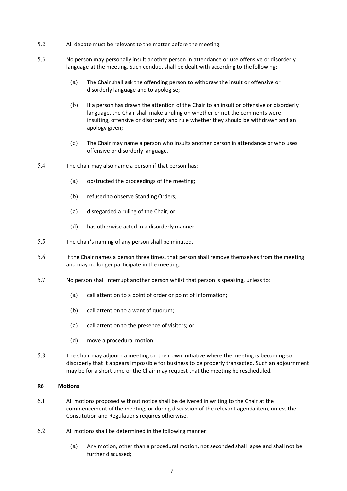- 5.2 All debate must be relevant to the matter before the meeting.
- 5.3 No person may personally insult another person in attendance or use offensive or disorderly language at the meeting. Such conduct shall be dealt with according to the following:
	- (a) The Chair shall ask the offending person to withdraw the insult or offensive or disorderly language and to apologise;
	- (b) If a person has drawn the attention of the Chair to an insult or offensive or disorderly language, the Chair shall make a ruling on whether or not the comments were insulting, offensive or disorderly and rule whether they should be withdrawn and an apology given;
	- (c) The Chair may name a person who insults another person in attendance or who uses offensive or disorderly language.
- 5.4 The Chair may also name a person if that person has:
	- (a) obstructed the proceedings of the meeting;
	- (b) refused to observe Standing Orders;
	- (c) disregarded a ruling of the Chair; or
	- (d) has otherwise acted in a disorderly manner.
- 5.5 The Chair's naming of any person shall be minuted.
- 5.6 If the Chair names a person three times, that person shall remove themselves from the meeting and may no longer participate in the meeting.
- 5.7 No person shall interrupt another person whilst that person is speaking, unless to:
	- (a) call attention to a point of order or point of information;
	- (b) call attention to a want of quorum;
	- (c) call attention to the presence of visitors; or
	- (d) move a procedural motion.
- 5.8 The Chair may adjourn a meeting on their own initiative where the meeting is becoming so disorderly that it appears impossible for business to be properly transacted. Such an adjournment may be for a short time or the Chair may request that the meeting be rescheduled.

#### **R6 Motions**

- 6.1 All motions proposed without notice shall be delivered in writing to the Chair at the commencement of the meeting, or during discussion of the relevant agenda item, unless the Constitution and Regulations requires otherwise.
- 6.2 All motions shall be determined in the following manner:
	- (a) Any motion, other than a procedural motion, not seconded shall lapse and shall not be further discussed;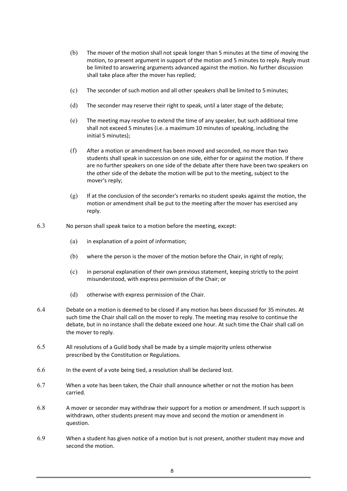- (b) The mover of the motion shall not speak longer than 5 minutes at the time of moving the motion, to present argument in support of the motion and 5 minutes to reply. Reply must be limited to answering arguments advanced against the motion. No further discussion shall take place after the mover has replied;
- (c) The seconder of such motion and all other speakers shall be limited to 5minutes;
- (d) The seconder may reserve their right to speak, until a later stage of the debate;
- (e) The meeting may resolve to extend the time of any speaker, but such additional time shall not exceed 5 minutes (i.e. a maximum 10 minutes of speaking, including the initial 5 minutes);
- (f) After a motion or amendment has been moved and seconded, no more than two students shall speak in succession on one side, either for or against the motion. If there are no further speakers on one side of the debate after there have been two speakers on the other side of the debate the motion will be put to the meeting, subject to the mover's reply;
- $(g)$  If at the conclusion of the seconder's remarks no student speaks against the motion, the motion or amendment shall be put to the meeting after the mover has exercised any reply.
- 6.3 No person shall speak twice to a motion before the meeting, except:
	- (a) in explanation of a point of information;
	- (b) where the person is the mover of the motion before the Chair, in right of reply;
	- (c) in personal explanation of their own previous statement, keeping strictly to the point misunderstood, with express permission of the Chair; or
	- (d) otherwise with express permission of the Chair.
- 6.4 Debate on a motion is deemed to be closed if any motion has been discussed for 35 minutes. At such time the Chair shall call on the mover to reply. The meeting may resolve to continue the debate, but in no instance shall the debate exceed one hour. At such time the Chair shall call on the mover to reply.
- 6.5 All resolutions of a Guild body shall be made by a simple majority unless otherwise prescribed by the Constitution or Regulations.
- 6.6 In the event of a vote being tied, a resolution shall be declared lost.
- 6.7 When a vote has been taken, the Chair shall announce whether or not the motion has been carried.
- 6.8 A mover or seconder may withdraw their support for a motion or amendment. If such support is withdrawn, other students present may move and second the motion or amendment in question.
- 6.9 When a student has given notice of a motion but is not present, another student may move and second the motion.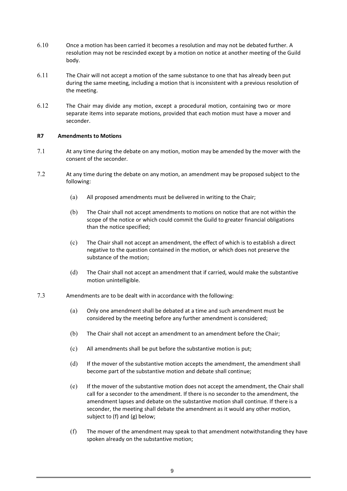- 6.10 Once a motion has been carried it becomes a resolution and may not be debated further. A resolution may not be rescinded except by a motion on notice at another meeting of the Guild body.
- 6.11 The Chair will not accept a motion of the same substance to one that has already been put during the same meeting, including a motion that is inconsistent with a previous resolution of the meeting.
- 6.12 The Chair may divide any motion, except a procedural motion, containing two or more separate items into separate motions, provided that each motion must have a mover and seconder.

# **R7 Amendments to Motions**

- 7.1 At any time during the debate on any motion, motion may be amended by the mover with the consent of the seconder.
- 7.2 At any time during the debate on any motion, an amendment may be proposed subject to the following:
	- (a) All proposed amendments must be delivered in writing to the Chair;
	- (b) The Chair shall not accept amendments to motions on notice that are not within the scope of the notice or which could commit the Guild to greater financial obligations than the notice specified;
	- (c) The Chair shall not accept an amendment, the effect of which is to establish a direct negative to the question contained in the motion, or which does not preserve the substance of the motion;
	- (d) The Chair shall not accept an amendment that if carried, would make the substantive motion unintelligible.

# 7.3 Amendments are to be dealt with in accordance with the following:

- (a) Only one amendment shall be debated at a time and such amendment must be considered by the meeting before any further amendment is considered;
- (b) The Chair shall not accept an amendment to an amendment before the Chair;
- (c) All amendments shall be put before the substantive motion is put;
- (d) If the mover of the substantive motion accepts the amendment, the amendment shall become part of the substantive motion and debate shall continue;
- (e) If the mover of the substantive motion does not accept the amendment, the Chair shall call for a seconder to the amendment. If there is no seconder to the amendment, the amendment lapses and debate on the substantive motion shall continue. If there is a seconder, the meeting shall debate the amendment as it would any other motion, subject to (f) and (g) below;
- (f) The mover of the amendment may speak to that amendment notwithstanding they have spoken already on the substantive motion;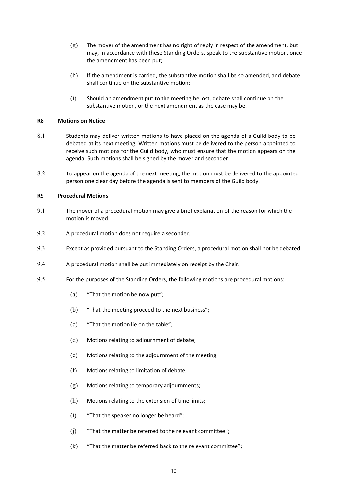- $(g)$  The mover of the amendment has no right of reply in respect of the amendment, but may, in accordance with these Standing Orders, speak to the substantive motion, once the amendment has been put;
- (h) If the amendment is carried, the substantive motion shall be so amended, and debate shall continue on the substantive motion;
- (i) Should an amendment put to the meeting be lost, debate shall continue on the substantive motion, or the next amendment as the case may be.

# **R8 Motions on Notice**

- 8.1 Students may deliver written motions to have placed on the agenda of a Guild body to be debated at its next meeting. Written motions must be delivered to the person appointed to receive such motions for the Guild body, who must ensure that the motion appears on the agenda. Such motions shall be signed by the mover and seconder.
- 8.2 To appear on the agenda of the next meeting, the motion must be delivered to the appointed person one clear day before the agenda is sent to members of the Guild body.

## **R9 Procedural Motions**

- 9.1 The mover of a procedural motion may give a brief explanation of the reason for which the motion is moved.
- 9.2 A procedural motion does not require a seconder.
- 9.3 Except as provided pursuant to the Standing Orders, a procedural motion shall not be debated.
- 9.4 A procedural motion shall be put immediately on receipt by the Chair.
- 9.5 For the purposes of the Standing Orders, the following motions are procedural motions:
	- (a) "That the motion be now put";
	- (b) "That the meeting proceed to the next business";
	- (c) "That the motion lie on the table";
	- (d) Motions relating to adjournment of debate;
	- (e) Motions relating to the adjournment of the meeting;
	- (f) Motions relating to limitation of debate;
	- (g) Motions relating to temporary adjournments;
	- (h) Motions relating to the extension of time limits;
	- (i) "That the speaker no longer be heard";
	- (j) "That the matter be referred to the relevant committee";
	- $(k)$  "That the matter be referred back to the relevant committee";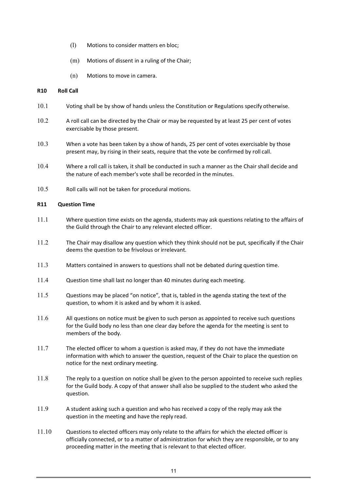- (l) Motions to consider matters en bloc;
- (m) Motions of dissent in a ruling of the Chair;
- (n) Motions to move in camera.

# **R10 Roll Call**

- 10.1 Voting shall be by show of hands unless the Constitution or Regulations specify otherwise.
- 10.2 A roll call can be directed by the Chair or may be requested by at least 25 per cent of votes exercisable by those present.
- 10.3 When a vote has been taken by a show of hands, 25 per cent of votes exercisable by those present may, by rising in their seats, require that the vote be confirmed by roll call.
- 10.4 Where a roll call is taken, it shall be conducted in such a manner as the Chair shall decide and the nature of each member's vote shall be recorded in the minutes.
- 10.5 Roll calls will not be taken for procedural motions.

# **R11 Question Time**

- 11.1 Where question time exists on the agenda, students may ask questions relating to the affairs of the Guild through the Chair to any relevant elected officer.
- 11.2 The Chair may disallow any question which they think should not be put, specifically if the Chair deems the question to be frivolous or irrelevant.
- 11.3 Matters contained in answers to questions shall not be debated during question time.
- 11.4 Question time shall last no longer than 40 minutes during each meeting.
- 11.5 Questions may be placed "on notice", that is, tabled in the agenda stating the text of the question, to whom it is asked and by whom it is asked.
- 11.6 All questions on notice must be given to such person as appointed to receive such questions for the Guild body no less than one clear day before the agenda for the meeting is sent to members of the body.
- 11.7 The elected officer to whom a question is asked may, if they do not have the immediate information with which to answer the question, request of the Chair to place the question on notice for the next ordinary meeting.
- 11.8 The reply to a question on notice shall be given to the person appointed to receive such replies for the Guild body. A copy of that answer shall also be supplied to the student who asked the question.
- 11.9 A student asking such a question and who has received a copy of the reply may ask the question in the meeting and have the reply read.
- 11.10 Questions to elected officers may only relate to the affairs for which the elected officer is officially connected, or to a matter of administration for which they are responsible, or to any proceeding matter in the meeting that is relevant to that elected officer.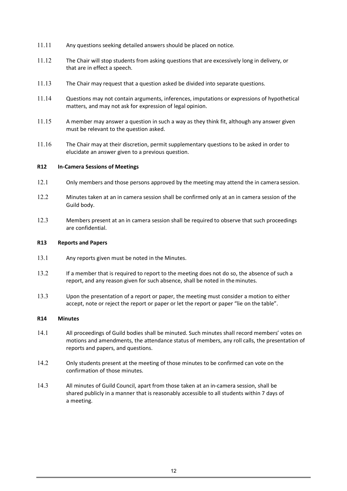- 11.11 Any questions seeking detailed answers should be placed on notice.
- 11.12 The Chair will stop students from asking questions that are excessively long in delivery, or that are in effect a speech.
- 11.13 The Chair may request that a question asked be divided into separate questions.
- 11.14 Questions may not contain arguments, inferences, imputations or expressions of hypothetical matters, and may not ask for expression of legal opinion.
- 11.15 A member may answer a question in such a way as they think fit, although any answer given must be relevant to the question asked.
- 11.16 The Chair may at their discretion, permit supplementary questions to be asked in order to elucidate an answer given to a previous question.

#### **R12 In-Camera Sessions of Meetings**

- 12.1 Only members and those persons approved by the meeting may attend the in camera session.
- 12.2 Minutes taken at an in camera session shall be confirmed only at an in camera session of the Guild body.
- 12.3 Members present at an in camera session shall be required to observe that such proceedings are confidential.

#### **R13 Reports and Papers**

- 13.1 Any reports given must be noted in the Minutes.
- 13.2 If a member that is required to report to the meeting does not do so, the absence of such a report, and any reason given for such absence, shall be noted in theminutes.
- 13.3 Upon the presentation of a report or paper, the meeting must consider a motion to either accept, note or reject the report or paper or let the report or paper "lie on the table".

## **R14 Minutes**

- 14.1 All proceedings of Guild bodies shall be minuted. Such minutes shall record members' votes on motions and amendments, the attendance status of members, any roll calls, the presentation of reports and papers, and questions.
- 14.2 Only students present at the meeting of those minutes to be confirmed can vote on the confirmation of those minutes.
- 14.3 All minutes of Guild Council, apart from those taken at an in-camera session, shall be shared publicly in a manner that is reasonably accessible to all students within 7 days of a meeting.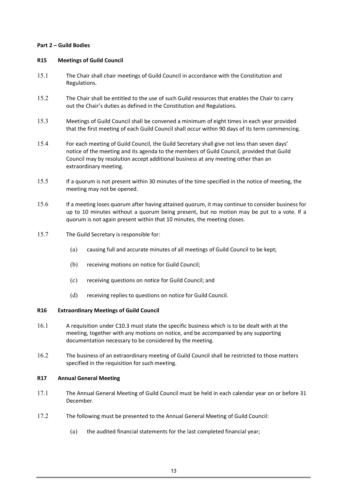# **Part 2 – Guild Bodies**

## **R15 Meetings of Guild Council**

- 15.1 The Chair shall chair meetings of Guild Council in accordance with the Constitution and Regulations.
- 15.2 The Chair shall be entitled to the use of such Guild resources that enables the Chair to carry out the Chair's duties as defined in the Constitution and Regulations.
- 15.3 Meetings of Guild Council shall be convened a minimum of eight times in each year provided that the first meeting of each Guild Council shall occur within 90 days of its term commencing.
- 15.4 For each meeting of Guild Council, the Guild Secretary shall give not less than seven days' notice of the meeting and its agenda to the members of Guild Council, provided that Guild Council may by resolution accept additional business at any meeting other than an extraordinary meeting.
- 15.5 If a quorum is not present within 30 minutes of the time specified in the notice of meeting, the meeting may not be opened.
- 15.6 If a meeting loses quorum after having attained quorum, it may continue to consider business for up to 10 minutes without a quorum being present, but no motion may be put to a vote. If a quorum is not again present within that 10 minutes, the meeting closes.
- 15.7 The Guild Secretary is responsible for:
	- (a) causing full and accurate minutes of all meetings of Guild Council to be kept;
	- (b) receiving motions on notice for Guild Council;
	- (c) receiving questions on notice for Guild Council; and
	- (d) receiving replies to questions on notice for Guild Council.

# **R16 Extraordinary Meetings of Guild Council**

- 16.1 A requisition under C10.3 must state the specific business which is to be dealt with at the meeting, together with any motions on notice, and be accompanied by any supporting documentation necessary to be considered by the meeting.
- 16.2 The business of an extraordinary meeting of Guild Council shall be restricted to those matters specified in the requisition for such meeting.

#### **R17 Annual General Meeting**

- 17.1 The Annual General Meeting of Guild Council must be held in each calendar year on or before 31 December.
- 17.2 The following must be presented to the Annual General Meeting of Guild Council:
	- (a) the audited financial statements for the last completed financial year;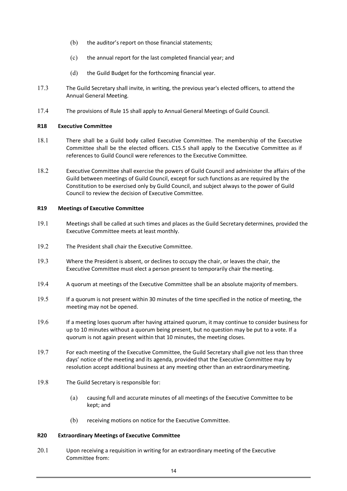- (b) the auditor's report on those financial statements;
- (c) the annual report for the last completed financial year; and
- (d) the Guild Budget for the forthcoming financial year.
- 17.3 The Guild Secretary shall invite, in writing, the previous year's elected officers, to attend the Annual General Meeting.
- 17.4 The provisions of Rule 15 shall apply to Annual General Meetings of Guild Council.

# **R18 Executive Committee**

- 18.1 There shall be a Guild body called Executive Committee. The membership of the Executive Committee shall be the elected officers. C15.5 shall apply to the Executive Committee as if references to Guild Council were references to the Executive Committee.
- 18.2 Executive Committee shall exercise the powers of Guild Council and administer the affairs of the Guild between meetings of Guild Council, except for such functions as are required by the Constitution to be exercised only by Guild Council, and subject always to the power of Guild Council to review the decision of Executive Committee.

# **R19 Meetings of Executive Committee**

- 19.1 Meetings shall be called at such times and places as the Guild Secretary determines, provided the Executive Committee meets at least monthly.
- 19.2 The President shall chair the Executive Committee.
- 19.3 Where the President is absent, or declines to occupy the chair, or leaves the chair, the Executive Committee must elect a person present to temporarily chair themeeting.
- 19.4 A quorum at meetings of the Executive Committee shall be an absolute majority of members.
- 19.5 If a quorum is not present within 30 minutes of the time specified in the notice of meeting, the meeting may not be opened.
- 19.6 If a meeting loses quorum after having attained quorum, it may continue to consider business for up to 10 minutes without a quorum being present, but no question may be put to a vote. If a quorum is not again present within that 10 minutes, the meeting closes.
- 19.7 For each meeting of the Executive Committee, the Guild Secretary shall give not less than three days' notice of the meeting and its agenda, provided that the Executive Committee may by resolution accept additional business at any meeting other than an extraordinarymeeting.
- 19.8 The Guild Secretary is responsible for:
	- (a) causing full and accurate minutes of all meetings of the Executive Committee to be kept; and
	- (b) receiving motions on notice for the Executive Committee.

# **R20 Extraordinary Meetings of Executive Committee**

20.1 Upon receiving a requisition in writing for an extraordinary meeting of the Executive Committee from: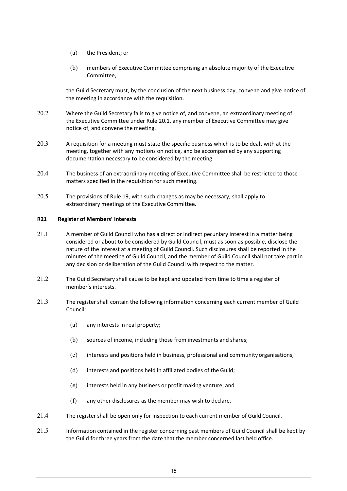- (a) the President; or
- (b) members of Executive Committee comprising an absolute majority of the Executive Committee,

the Guild Secretary must, by the conclusion of the next business day, convene and give notice of the meeting in accordance with the requisition.

- 20.2 Where the Guild Secretary fails to give notice of, and convene, an extraordinary meeting of the Executive Committee under Rule 20.1, any member of Executive Committee may give notice of, and convene the meeting.
- 20.3 A requisition for a meeting must state the specific business which is to be dealt with at the meeting, together with any motions on notice, and be accompanied by any supporting documentation necessary to be considered by the meeting.
- 20.4 The business of an extraordinary meeting of Executive Committee shall be restricted to those matters specified in the requisition for such meeting.
- 20.5 The provisions of Rule 19, with such changes as may be necessary, shall apply to extraordinary meetings of the Executive Committee.

# **R21 Register of Members' Interests**

- 21.1 A member of Guild Council who has a direct or indirect pecuniary interest in a matter being considered or about to be considered by Guild Council, must as soon as possible, disclose the nature of the interest at a meeting of Guild Council. Such disclosures shall be reported in the minutes of the meeting of Guild Council, and the member of Guild Council shall not take part in any decision or deliberation of the Guild Council with respect to the matter.
- 21.2 The Guild Secretary shall cause to be kept and updated from time to time a register of member's interests.
- 21.3 The register shall contain the following information concerning each current member of Guild Council:
	- (a) any interests in real property;
	- (b) sources of income, including those from investments and shares;
	- (c) interests and positions held in business, professional and community organisations;
	- (d) interests and positions held in affiliated bodies of the Guild;
	- (e) interests held in any business or profit making venture; and
	- (f) any other disclosures as the member may wish to declare.
- 21.4 The register shall be open only for inspection to each current member of Guild Council.
- 21.5 Information contained in the register concerning past members of Guild Council shall be kept by the Guild for three years from the date that the member concerned last held office.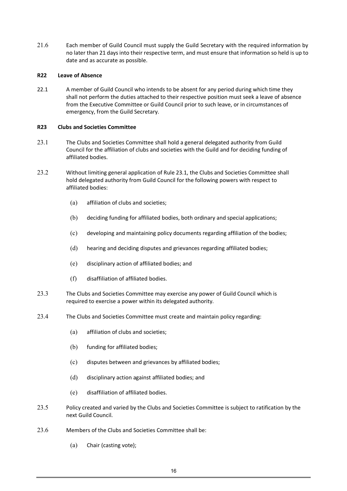21.6 Each member of Guild Council must supply the Guild Secretary with the required information by no later than 21 days into their respective term, and must ensure that information so held is up to date and as accurate as possible.

# **R22 Leave of Absence**

22.1 A member of Guild Council who intends to be absent for any period during which time they shall not perform the duties attached to their respective position must seek a leave of absence from the Executive Committee or Guild Council prior to such leave, or in circumstances of emergency, from the Guild Secretary.

## **R23 Clubs and Societies Committee**

- 23.1 The Clubs and Societies Committee shall hold a general delegated authority from Guild Council for the affiliation of clubs and societies with the Guild and for deciding funding of affiliated bodies.
- 23.2 Without limiting general application of Rule 23.1, the Clubs and Societies Committee shall hold delegated authority from Guild Council for the following powers with respect to affiliated bodies:
	- (a) affiliation of clubs and societies;
	- (b) deciding funding for affiliated bodies, both ordinary and special applications;
	- (c) developing and maintaining policy documents regarding affiliation of the bodies;
	- (d) hearing and deciding disputes and grievances regarding affiliated bodies;
	- (e) disciplinary action of affiliated bodies; and
	- (f) disaffiliation of affiliated bodies.
- 23.3 The Clubs and Societies Committee may exercise any power of Guild Council which is required to exercise a power within its delegated authority.
- 23.4 The Clubs and Societies Committee must create and maintain policy regarding:
	- (a) affiliation of clubs and societies;
	- (b) funding for affiliated bodies;
	- (c) disputes between and grievances by affiliated bodies;
	- (d) disciplinary action against affiliated bodies; and
	- (e) disaffiliation of affiliated bodies.
- 23.5 Policy created and varied by the Clubs and Societies Committee is subject to ratification by the next Guild Council.
- 23.6 Members of the Clubs and Societies Committee shall be:
	- (a) Chair (casting vote);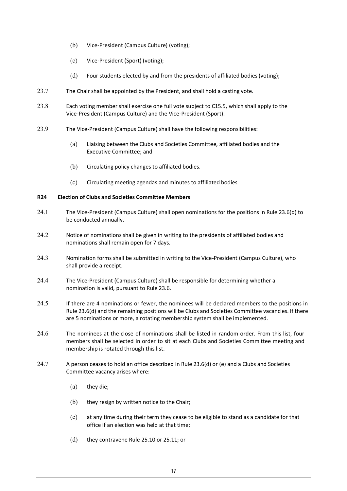- (b) Vice-President (Campus Culture) (voting);
- (c) Vice-President (Sport) (voting);
- (d) Four students elected by and from the presidents of affiliated bodies(voting);
- 23.7 The Chair shall be appointed by the President, and shall hold a casting vote.
- 23.8 Each voting member shall exercise one full vote subject to C15.5, which shall apply to the Vice-President (Campus Culture) and the Vice-President (Sport).
- 23.9 The Vice-President (Campus Culture) shall have the following responsibilities:
	- (a) Liaising between the Clubs and Societies Committee, affiliated bodies and the Executive Committee; and
	- (b) Circulating policy changes to affiliated bodies.
	- (c) Circulating meeting agendas and minutes to affiliated bodies

# **R24 Election of Clubs and Societies Committee Members**

- 24.1 The Vice-President (Campus Culture) shall open nominations for the positions in Rule 23.6(d) to be conducted annually.
- 24.2 Notice of nominations shall be given in writing to the presidents of affiliated bodies and nominations shall remain open for 7 days.
- 24.3 Nomination forms shall be submitted in writing to the Vice-President (Campus Culture), who shall provide a receipt.
- 24.4 The Vice-President (Campus Culture) shall be responsible for determining whether a nomination is valid, pursuant to Rule 23.6.
- 24.5 If there are 4 nominations or fewer, the nominees will be declared members to the positions in Rule 23.6(d) and the remaining positions will be Clubs and Societies Committee vacancies. If there are 5 nominations or more, a rotating membership system shall be implemented.
- 24.6 The nominees at the close of nominations shall be listed in random order. From this list, four members shall be selected in order to sit at each Clubs and Societies Committee meeting and membership is rotated through this list.
- 24.7 A person ceases to hold an office described in Rule 23.6(d) or (e) and a Clubs and Societies Committee vacancy arises where:
	- (a) they die;
	- (b) they resign by written notice to the Chair;
	- (c) at any time during their term they cease to be eligible to stand as a candidate for that office if an election was held at that time;
	- (d) they contravene Rule 25.10 or 25.11; or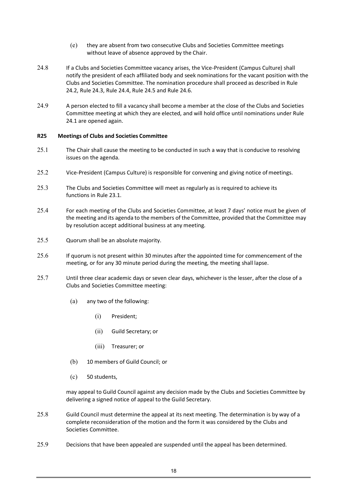- (e) they are absent from two consecutive Clubs and Societies Committee meetings without leave of absence approved by the Chair.
- 24.8 If a Clubs and Societies Committee vacancy arises, the Vice-President (Campus Culture) shall notify the president of each affiliated body and seek nominations for the vacant position with the Clubs and Societies Committee. The nomination procedure shall proceed as described in Rule 24.2, Rule 24.3, Rule 24.4, Rule 24.5 and Rule 24.6.
- 24.9 A person elected to fill a vacancy shall become a member at the close of the Clubs and Societies Committee meeting at which they are elected, and will hold office until nominations under Rule 24.1 are opened again.

# **R25 Meetings of Clubs and Societies Committee**

- 25.1 The Chair shall cause the meeting to be conducted in such a way that is conducive to resolving issues on the agenda.
- 25.2 Vice-President (Campus Culture) is responsible for convening and giving notice of meetings.
- 25.3 The Clubs and Societies Committee will meet as regularly as is required to achieve its functions in Rule 23.1.
- 25.4 For each meeting of the Clubs and Societies Committee, at least 7 days' notice must be given of the meeting and its agenda to the members of the Committee, provided that the Committee may by resolution accept additional business at any meeting.
- 25.5 Quorum shall be an absolute majority.
- 25.6 If quorum is not present within 30 minutes after the appointed time for commencement of the meeting, or for any 30 minute period during the meeting, the meeting shall lapse.
- 25.7 Until three clear academic days or seven clear days, whichever is the lesser, after the close of a Clubs and Societies Committee meeting:
	- (a) any two of the following:
		- (i) President;
		- (ii) Guild Secretary; or
		- (iii) Treasurer; or
	- (b) 10 members of Guild Council; or
	- (c) 50 students,

may appeal to Guild Council against any decision made by the Clubs and Societies Committee by delivering a signed notice of appeal to the Guild Secretary.

- 25.8 Guild Council must determine the appeal at its next meeting. The determination is by way of a complete reconsideration of the motion and the form it was considered by the Clubs and Societies Committee.
- 25.9 Decisions that have been appealed are suspended until the appeal has been determined.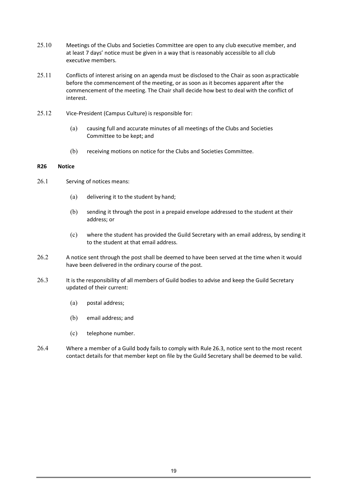- 25.10 Meetings of the Clubs and Societies Committee are open to any club executive member, and at least 7 days' notice must be given in a way that is reasonably accessible to all club executive members.
- 25.11 Conflicts of interest arising on an agenda must be disclosed to the Chair as soon aspracticable before the commencement of the meeting, or as soon as it becomes apparent after the commencement of the meeting. The Chair shall decide how best to deal with the conflict of interest.
- 25.12 Vice-President (Campus Culture) is responsible for:
	- (a) causing full and accurate minutes of all meetings of the Clubs and Societies Committee to be kept; and
	- (b) receiving motions on notice for the Clubs and Societies Committee.

# **R26 Notice**

- 26.1 Serving of notices means:
	- (a) delivering it to the student by hand;
	- (b) sending it through the post in a prepaid envelope addressed to the student at their address; or
	- (c) where the student has provided the Guild Secretary with an email address, by sending it to the student at that email address.
- 26.2 A notice sent through the post shall be deemed to have been served at the time when it would have been delivered in the ordinary course of the post.
- 26.3 It is the responsibility of all members of Guild bodies to advise and keep the Guild Secretary updated of their current:
	- (a) postal address;
	- (b) email address; and
	- (c) telephone number.
- 26.4 Where a member of a Guild body fails to comply with Rule 26.3, notice sent to the most recent contact details for that member kept on file by the Guild Secretary shall be deemed to be valid.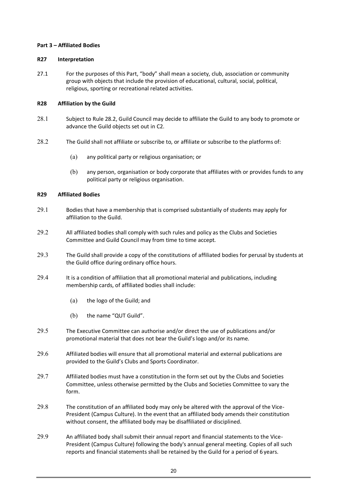# **Part 3 – Affiliated Bodies**

## **R27 Interpretation**

27.1 For the purposes of this Part, "body" shall mean a society, club, association or community group with objects that include the provision of educational, cultural, social, political, religious, sporting or recreational related activities.

# **R28 Affiliation by the Guild**

- 28.1 Subject to Rule 28.2, Guild Council may decide to affiliate the Guild to any body to promote or advance the Guild objects set out in C2.
- 28.2 The Guild shall not affiliate or subscribe to, or affiliate or subscribe to the platforms of:
	- (a) any political party or religious organisation; or
	- (b) any person, organisation or body corporate that affiliates with or provides funds to any political party or religious organisation.

## **R29 Affiliated Bodies**

- 29.1 Bodies that have a membership that is comprised substantially of students may apply for affiliation to the Guild.
- 29.2 All affiliated bodies shall comply with such rules and policy as the Clubs and Societies Committee and Guild Council may from time to time accept.
- 29.3 The Guild shall provide a copy of the constitutions of affiliated bodies for perusal by students at the Guild office during ordinary office hours.
- 29.4 It is a condition of affiliation that all promotional material and publications, including membership cards, of affiliated bodies shall include:
	- (a) the logo of the Guild; and
	- (b) the name "QUT Guild".
- 29.5 The Executive Committee can authorise and/or direct the use of publications and/or promotional material that does not bear the Guild's logo and/or its name.
- 29.6 Affiliated bodies will ensure that all promotional material and external publications are provided to the Guild's Clubs and Sports Coordinator.
- 29.7 Affiliated bodies must have a constitution in the form set out by the Clubs and Societies Committee, unless otherwise permitted by the Clubs and Societies Committee to vary the form.
- 29.8 The constitution of an affiliated body may only be altered with the approval of the Vice-President (Campus Culture). In the event that an affiliated body amends their constitution without consent, the affiliated body may be disaffiliated or disciplined.
- 29.9 An affiliated body shall submit their annual report and financial statements to the Vice-President (Campus Culture) following the body's annual general meeting. Copies of all such reports and financial statements shall be retained by the Guild for a period of 6 years.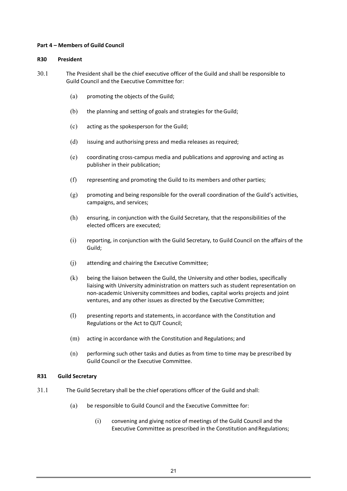## **Part 4 – Members of Guild Council**

#### **R30 President**

- 30.1 The President shall be the chief executive officer of the Guild and shall be responsible to Guild Council and the Executive Committee for:
	- (a) promoting the objects of the Guild;
	- (b) the planning and setting of goals and strategies for theGuild;
	- (c) acting as the spokesperson for the Guild;
	- (d) issuing and authorising press and media releases as required;
	- (e) coordinating cross-campus media and publications and approving and acting as publisher in their publication;
	- (f) representing and promoting the Guild to its members and other parties;
	- (g) promoting and being responsible for the overall coordination of the Guild's activities, campaigns, and services;
	- (h) ensuring, in conjunction with the Guild Secretary, that the responsibilities of the elected officers are executed;
	- (i) reporting, in conjunction with the Guild Secretary, to Guild Council on the affairs of the Guild;
	- (j) attending and chairing the Executive Committee;
	- (k) being the liaison between the Guild, the University and other bodies, specifically liaising with University administration on matters such as student representation on non-academic University committees and bodies, capital works projects and joint ventures, and any other issues as directed by the Executive Committee;
	- (l) presenting reports and statements, in accordance with the Constitution and Regulations or the Act to QUT Council;
	- (m) acting in accordance with the Constitution and Regulations; and
	- (n) performing such other tasks and duties as from time to time may be prescribed by Guild Council or the Executive Committee.

#### **R31 Guild Secretary**

- 31.1 The Guild Secretary shall be the chief operations officer of the Guild and shall:
	- (a) be responsible to Guild Council and the Executive Committee for:
		- (i) convening and giving notice of meetings of the Guild Council and the Executive Committee as prescribed in the Constitution and Regulations;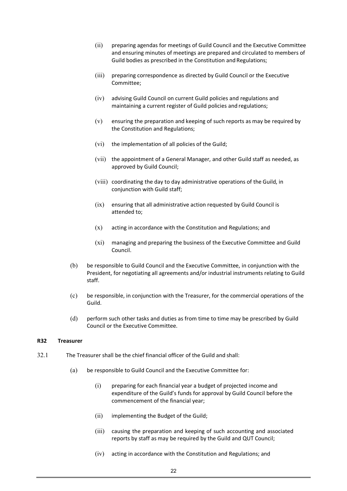- (ii) preparing agendas for meetings of Guild Council and the Executive Committee and ensuring minutes of meetings are prepared and circulated to members of Guild bodies as prescribed in the Constitution and Regulations;
- (iii) preparing correspondence as directed by Guild Council or the Executive Committee;
- (iv) advising Guild Council on current Guild policies and regulations and maintaining a current register of Guild policies and regulations;
- (v) ensuring the preparation and keeping of such reports as may be required by the Constitution and Regulations;
- (vi) the implementation of all policies of the Guild;
- (vii) the appointment of a General Manager, and other Guild staff as needed, as approved by Guild Council;
- (viii) coordinating the day to day administrative operations of the Guild, in conjunction with Guild staff;
- (ix) ensuring that all administrative action requested by Guild Council is attended to;
- $(x)$  acting in accordance with the Constitution and Regulations; and
- (xi) managing and preparing the business of the Executive Committee and Guild Council.
- (b) be responsible to Guild Council and the Executive Committee, in conjunction with the President, for negotiating all agreements and/or industrial instruments relating to Guild staff.
- (c) be responsible, in conjunction with the Treasurer, for the commercial operations of the Guild.
- (d) perform such other tasks and duties as from time to time may be prescribed by Guild Council or the Executive Committee.

#### **R32 Treasurer**

- 32.1 The Treasurer shall be the chief financial officer of the Guild and shall:
	- (a) be responsible to Guild Council and the Executive Committee for:
		- (i) preparing for each financial year a budget of projected income and expenditure of the Guild's funds for approval by Guild Council before the commencement of the financial year;
		- (ii) implementing the Budget of the Guild;
		- (iii) causing the preparation and keeping of such accounting and associated reports by staff as may be required by the Guild and QUT Council;
		- (iv) acting in accordance with the Constitution and Regulations; and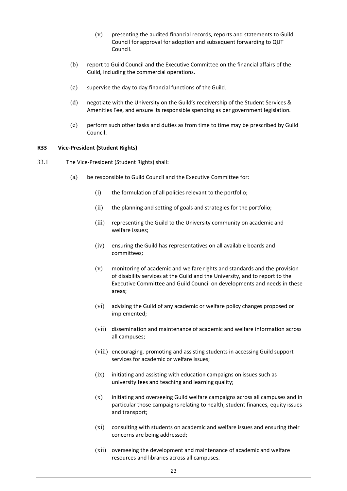- (v) presenting the audited financial records, reports and statements to Guild Council for approval for adoption and subsequent forwarding to QUT Council.
- (b) report to Guild Council and the Executive Committee on the financial affairs of the Guild, including the commercial operations.
- (c) supervise the day to day financial functions of the Guild.
- (d) negotiate with the University on the Guild's receivership of the Student Services & Amenities Fee, and ensure its responsible spending as per government legislation.
- (e) perform such other tasks and duties as from time to time may be prescribed by Guild Council.

#### **R33 Vice-President (Student Rights)**

- 33.1 The Vice-President (Student Rights) shall:
	- (a) be responsible to Guild Council and the Executive Committee for:
		- (i) the formulation of all policies relevant to the portfolio;
		- (ii) the planning and setting of goals and strategies for the portfolio;
		- (iii) representing the Guild to the University community on academic and welfare issues;
		- (iv) ensuring the Guild has representatives on all available boards and committees;
		- (v) monitoring of academic and welfare rights and standards and the provision of disability services at the Guild and the University, and to report to the Executive Committee and Guild Council on developments and needs in these areas;
		- (vi) advising the Guild of any academic or welfare policy changes proposed or implemented;
		- (vii) dissemination and maintenance of academic and welfare information across all campuses;
		- (viii) encouraging, promoting and assisting students in accessing Guild support services for academic or welfare issues;
		- $(ix)$  initiating and assisting with education campaigns on issues such as university fees and teaching and learning quality;
		- (x) initiating and overseeing Guild welfare campaigns across all campuses and in particular those campaigns relating to health, student finances, equity issues and transport;
		- (xi) consulting with students on academic and welfare issues and ensuring their concerns are being addressed;
		- (xii) overseeing the development and maintenance of academic and welfare resources and libraries across all campuses.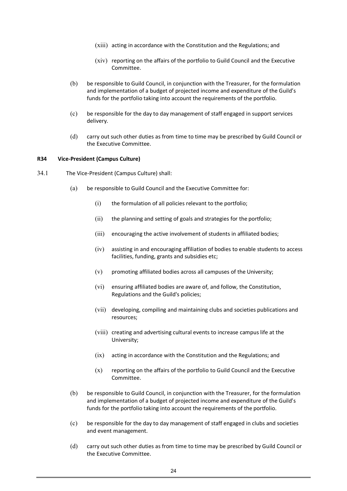- (xiii) acting in accordance with the Constitution and the Regulations; and
- (xiv) reporting on the affairs of the portfolio to Guild Council and the Executive Committee.
- (b) be responsible to Guild Council, in conjunction with the Treasurer, for the formulation and implementation of a budget of projected income and expenditure of the Guild's funds for the portfolio taking into account the requirements of the portfolio.
- (c) be responsible for the day to day management of staff engaged in support services delivery.
- (d) carry out such other duties as from time to time may be prescribed by Guild Council or the Executive Committee.

## **R34 Vice-President (Campus Culture)**

- 34.1 The Vice-President (Campus Culture) shall:
	- (a) be responsible to Guild Council and the Executive Committee for:
		- (i) the formulation of all policies relevant to the portfolio;
		- (ii) the planning and setting of goals and strategies for the portfolio;
		- (iii) encouraging the active involvement of students in affiliated bodies;
		- (iv) assisting in and encouraging affiliation of bodies to enable students to access facilities, funding, grants and subsidies etc;
		- (v) promoting affiliated bodies across all campuses of the University;
		- (vi) ensuring affiliated bodies are aware of, and follow, the Constitution, Regulations and the Guild's policies;
		- (vii) developing, compiling and maintaining clubs and societies publications and resources;
		- (viii) creating and advertising cultural events to increase campus life at the University;
		- (ix) acting in accordance with the Constitution and the Regulations; and
		- (x) reporting on the affairs of the portfolio to Guild Council and the Executive Committee.
	- (b) be responsible to Guild Council, in conjunction with the Treasurer, for the formulation and implementation of a budget of projected income and expenditure of the Guild's funds for the portfolio taking into account the requirements of the portfolio.
	- (c) be responsible for the day to day management of staff engaged in clubs and societies and event management.
	- (d) carry out such other duties as from time to time may be prescribed by Guild Council or the Executive Committee.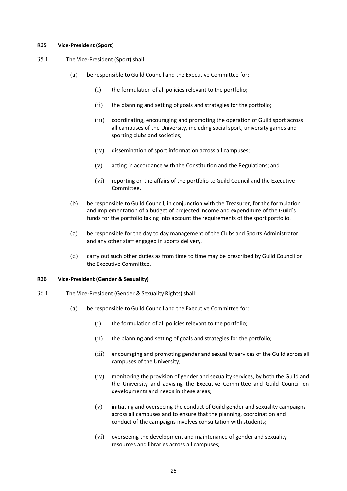## **R35 Vice-President (Sport)**

- 35.1 The Vice-President (Sport) shall:
	- (a) be responsible to Guild Council and the Executive Committee for:
		- $(i)$  the formulation of all policies relevant to the portfolio;
		- (ii) the planning and setting of goals and strategies for the portfolio;
		- (iii) coordinating, encouraging and promoting the operation of Guild sport across all campuses of the University, including social sport, university games and sporting clubs and societies;
		- (iv) dissemination of sport information across all campuses;
		- (v) acting in accordance with the Constitution and the Regulations; and
		- (vi) reporting on the affairs of the portfolio to Guild Council and the Executive Committee.
	- (b) be responsible to Guild Council, in conjunction with the Treasurer, for the formulation and implementation of a budget of projected income and expenditure of the Guild's funds for the portfolio taking into account the requirements of the sport portfolio.
	- (c) be responsible for the day to day management of the Clubs and Sports Administrator and any other staff engaged in sports delivery.
	- (d) carry out such other duties as from time to time may be prescribed by Guild Council or the Executive Committee.

## **R36 Vice-President (Gender & Sexuality)**

- 36.1 The Vice-President (Gender & Sexuality Rights) shall:
	- (a) be responsible to Guild Council and the Executive Committee for:
		- $(i)$  the formulation of all policies relevant to the portfolio;
		- (ii) the planning and setting of goals and strategies for the portfolio;
		- (iii) encouraging and promoting gender and sexuality services of the Guild across all campuses of the University;
		- (iv) monitoring the provision of gender and sexuality services, by both the Guild and the University and advising the Executive Committee and Guild Council on developments and needs in these areas;
		- (v) initiating and overseeing the conduct of Guild gender and sexuality campaigns across all campuses and to ensure that the planning, coordination and conduct of the campaigns involves consultation with students;
		- (vi) overseeing the development and maintenance of gender and sexuality resources and libraries across all campuses;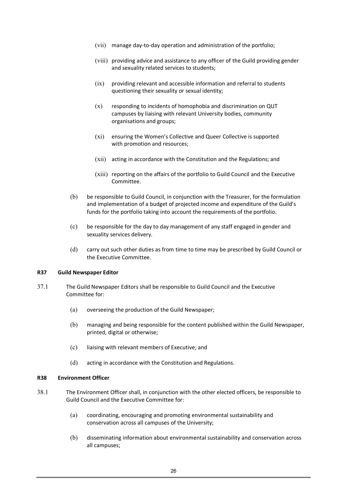- (vii) manage day-to-day operation and administration of the portfolio;
- (viii) providing advice and assistance to any officer of the Guild providing gender and sexuality related services to students;
- (ix) providing relevant and accessible information and referral to students questioning their sexuality or sexual identity;
- $(x)$  responding to incidents of homophobia and discrimination on QUT campuses by liaising with relevant University bodies, community organisations and groups;
- (xi) ensuring the Women's Collective and Queer Collective is supported with promotion and resources;
- (xii) acting in accordance with the Constitution and the Regulations; and
- (xiii) reporting on the affairs of the portfolio to Guild Council and the Executive Committee.
- (b) be responsible to Guild Council, in conjunction with the Treasurer, for the formulation and implementation of a budget of projected income and expenditure of the Guild's funds for the portfolio taking into account the requirements of the portfolio.
- (c) be responsible for the day to day management of any staff engaged in gender and sexuality services delivery.
- (d) carry out such other duties as from time to time may be prescribed by Guild Council or the Executive Committee.

# **R37 Guild Newspaper Editor**

- 37.1 The Guild Newspaper Editors shall be responsible to Guild Council and the Executive Committee for:
	- (a) overseeing the production of the Guild Newspaper;
	- (b) managing and being responsible for the content published within the Guild Newspaper, printed, digital or otherwise;
	- (c) liaising with relevant members of Executive; and
	- (d) acting in accordance with the Constitution and Regulations.

#### **R38 Environment Officer**

- 38.1 The Environment Officer shall, in conjunction with the other elected officers, be responsible to Guild Council and the Executive Committee for:
	- (a) coordinating, encouraging and promoting environmental sustainability and conservation across all campuses of the University;
	- (b) disseminating information about environmental sustainability and conservation across all campuses;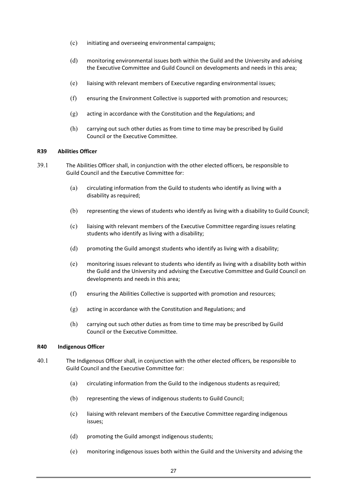- (c) initiating and overseeing environmental campaigns;
- (d) monitoring environmental issues both within the Guild and the University and advising the Executive Committee and Guild Council on developments and needs in this area;
- (e) liaising with relevant members of Executive regarding environmental issues;
- (f) ensuring the Environment Collective is supported with promotion and resources;
- (g) acting in accordance with the Constitution and the Regulations; and
- (h) carrying out such other duties as from time to time may be prescribed by Guild Council or the Executive Committee.

## **R39 Abilities Officer**

- 39.1 The Abilities Officer shall, in conjunction with the other elected officers, be responsible to Guild Council and the Executive Committee for:
	- (a) circulating information from the Guild to students who identify as living with a disability as required;
	- (b) representing the views of students who identify as living with a disability to Guild Council;
	- (c) liaising with relevant members of the Executive Committee regarding issues relating students who identify as living with a disability;
	- (d) promoting the Guild amongst students who identify as living with a disability;
	- (e) monitoring issues relevant to students who identify as living with a disability both within the Guild and the University and advising the Executive Committee and Guild Council on developments and needs in this area;
	- (f) ensuring the Abilities Collective is supported with promotion and resources;
	- (g) acting in accordance with the Constitution and Regulations; and
	- (h) carrying out such other duties as from time to time may be prescribed by Guild Council or the Executive Committee.

#### **R40 Indigenous Officer**

- 40.1 The Indigenous Officer shall, in conjunction with the other elected officers, be responsible to Guild Council and the Executive Committee for:
	- (a) circulating information from the Guild to the indigenous students asrequired;
	- (b) representing the views of indigenous students to Guild Council;
	- (c) liaising with relevant members of the Executive Committee regarding indigenous issues;
	- (d) promoting the Guild amongst indigenous students;
	- (e) monitoring indigenous issues both within the Guild and the University and advising the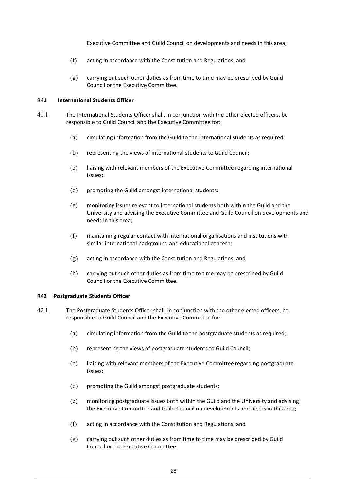Executive Committee and Guild Council on developments and needs in this area;

- (f) acting in accordance with the Constitution and Regulations; and
- (g) carrying out such other duties as from time to time may be prescribed by Guild Council or the Executive Committee.

## **R41 International Students Officer**

- 41.1 The International Students Officer shall, in conjunction with the other elected officers, be responsible to Guild Council and the Executive Committee for:
	- (a) circulating information from the Guild to the international students asrequired;
	- (b) representing the views of international students to Guild Council;
	- (c) liaising with relevant members of the Executive Committee regarding international issues;
	- (d) promoting the Guild amongst international students;
	- (e) monitoring issues relevant to international students both within the Guild and the University and advising the Executive Committee and Guild Council on developments and needs in this area;
	- (f) maintaining regular contact with international organisations and institutions with similar international background and educational concern;
	- (g) acting in accordance with the Constitution and Regulations; and
	- (h) carrying out such other duties as from time to time may be prescribed by Guild Council or the Executive Committee.

#### **R42 Postgraduate Students Officer**

- 42.1 The Postgraduate Students Officer shall, in conjunction with the other elected officers, be responsible to Guild Council and the Executive Committee for:
	- (a) circulating information from the Guild to the postgraduate students asrequired;
	- (b) representing the views of postgraduate students to Guild Council;
	- (c) liaising with relevant members of the Executive Committee regarding postgraduate issues;
	- (d) promoting the Guild amongst postgraduate students;
	- (e) monitoring postgraduate issues both within the Guild and the University and advising the Executive Committee and Guild Council on developments and needs in this area;
	- (f) acting in accordance with the Constitution and Regulations; and
	- (g) carrying out such other duties as from time to time may be prescribed by Guild Council or the Executive Committee.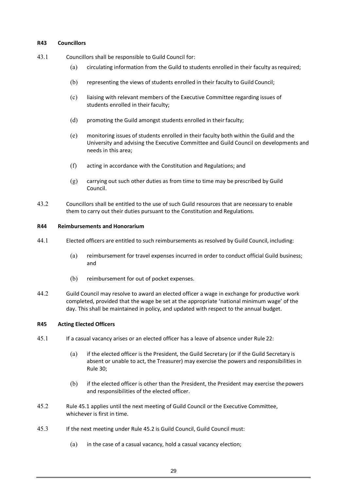# **R43 Councillors**

- 43.1 Councillors shall be responsible to Guild Council for:
	- (a) circulating information from the Guild to students enrolled in their faculty asrequired;
	- (b) representing the views of students enrolled in their faculty to Guild Council;
	- (c) liaising with relevant members of the Executive Committee regarding issues of students enrolled in their faculty;
	- (d) promoting the Guild amongst students enrolled in their faculty;
	- (e) monitoring issues of students enrolled in their faculty both within the Guild and the University and advising the Executive Committee and Guild Council on developments and needs in this area;
	- (f) acting in accordance with the Constitution and Regulations; and
	- (g) carrying out such other duties as from time to time may be prescribed by Guild Council.
- 43.2 Councillors shall be entitled to the use of such Guild resources that are necessary to enable them to carry out their duties pursuant to the Constitution and Regulations.

## **R44 Reimbursements and Honorarium**

- 44.1 Elected officers are entitled to such reimbursements as resolved by Guild Council, including:
	- (a) reimbursement for travel expenses incurred in order to conduct official Guild business; and
	- (b) reimbursement for out of pocket expenses.
- 44.2 Guild Council may resolve to award an elected officer a wage in exchange for productive work completed, provided that the wage be set at the appropriate 'national minimum wage' of the day. This shall be maintained in policy, and updated with respect to the annual budget.

#### **R45 Acting Elected Officers**

- 45.1 If a casual vacancy arises or an elected officer has a leave of absence under Rule 22:
	- (a) if the elected officer is the President, the Guild Secretary (or if the Guild Secretary is absent or unable to act, the Treasurer) may exercise the powers and responsibilities in Rule 30;
	- (b) if the elected officer is other than the President, the President may exercise thepowers and responsibilities of the elected officer.
- 45.2 Rule 45.1 applies until the next meeting of Guild Council or the Executive Committee, whichever is first in time.
- 45.3 If the next meeting under Rule 45.2 is Guild Council, Guild Council must:
	- (a) in the case of a casual vacancy, hold a casual vacancy election;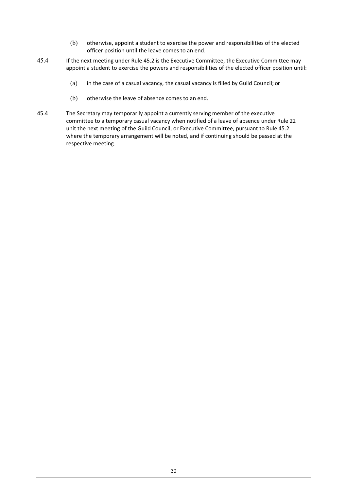- (b) otherwise, appoint a student to exercise the power and responsibilities of the elected officer position until the leave comes to an end.
- 45.4 If the next meeting under Rule 45.2 is the Executive Committee, the Executive Committee may appoint a student to exercise the powers and responsibilities of the elected officer position until:
	- (a) in the case of a casual vacancy, the casual vacancy is filled by Guild Council; or
	- (b) otherwise the leave of absence comes to an end.
- 45.4 The Secretary may temporarily appoint a currently serving member of the executive committee to a temporary casual vacancy when notified of a leave of absence under Rule 22 unit the next meeting of the Guild Council, or Executive Committee, pursuant to Rule 45.2 where the temporary arrangement will be noted, and if continuing should be passed at the respective meeting.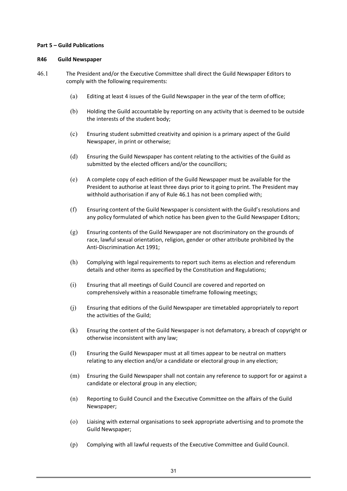#### **Part 5 – Guild Publications**

#### **R46 Guild Newspaper**

- 46.1 The President and/or the Executive Committee shall direct the Guild Newspaper Editors to comply with the following requirements:
	- (a) Editing at least 4 issues of the Guild Newspaper in the year of the term of office;
	- (b) Holding the Guild accountable by reporting on any activity that is deemed to be outside the interests of the student body;
	- (c) Ensuring student submitted creativity and opinion is a primary aspect of the Guild Newspaper, in print or otherwise;
	- (d) Ensuring the Guild Newspaper has content relating to the activities of the Guild as submitted by the elected officers and/or the councillors;
	- (e) A complete copy of each edition of the Guild Newspaper must be available for the President to authorise at least three days prior to it going to print. The President may withhold authorisation if any of Rule 46.1 has not been complied with;
	- (f) Ensuring content of the Guild Newspaper is consistent with the Guild's resolutions and any policy formulated of which notice has been given to the Guild Newspaper Editors;
	- (g) Ensuring contents of the Guild Newspaper are not discriminatory on the grounds of race, lawful sexual orientation, religion, gender or other attribute prohibited by the Anti-Discrimination Act 1991;
	- (h) Complying with legal requirements to report such items as election and referendum details and other items as specified by the Constitution and Regulations;
	- (i) Ensuring that all meetings of Guild Council are covered and reported on comprehensively within a reasonable timeframe following meetings;
	- (j) Ensuring that editions of the Guild Newspaper are timetabled appropriately to report the activities of the Guild;
	- (k) Ensuring the content of the Guild Newspaper is not defamatory, a breach of copyright or otherwise inconsistent with any law;
	- (l) Ensuring the Guild Newspaper must at all times appear to be neutral on matters relating to any election and/or a candidate or electoral group in any election;
	- (m) Ensuring the Guild Newspaper shall not contain any reference to support for or against a candidate or electoral group in any election;
	- (n) Reporting to Guild Council and the Executive Committee on the affairs of the Guild Newspaper;
	- (o) Liaising with external organisations to seek appropriate advertising and to promote the Guild Newspaper;
	- (p) Complying with all lawful requests of the Executive Committee and Guild Council.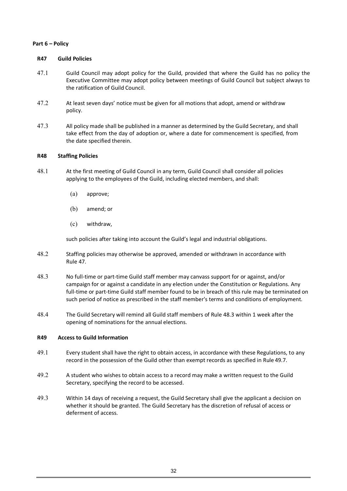# **Part 6 – Policy**

## **R47 Guild Policies**

- 47.1 Guild Council may adopt policy for the Guild, provided that where the Guild has no policy the Executive Committee may adopt policy between meetings of Guild Council but subject always to the ratification of Guild Council.
- 47.2 At least seven days' notice must be given for all motions that adopt, amend or withdraw policy.
- 47.3 All policy made shall be published in a manner as determined by the Guild Secretary, and shall take effect from the day of adoption or, where a date for commencement is specified, from the date specified therein.

# **R48 Staffing Policies**

- 48.1 At the first meeting of Guild Council in any term, Guild Council shall consider all policies applying to the employees of the Guild, including elected members, and shall:
	- (a) approve;
	- (b) amend; or
	- (c) withdraw,

such policies after taking into account the Guild's legal and industrial obligations.

- 48.2 Staffing policies may otherwise be approved, amended or withdrawn in accordance with Rule 47.
- 48.3 No full-time or part-time Guild staff member may canvass support for or against, and/or campaign for or against a candidate in any election under the Constitution or Regulations. Any full-time or part-time Guild staff member found to be in breach of this rule may be terminated on such period of notice as prescribed in the staff member's terms and conditions of employment.
- 48.4 The Guild Secretary will remind all Guild staff members of Rule 48.3 within 1 week after the opening of nominations for the annual elections.

#### **R49 Access to Guild Information**

- 49.1 Every student shall have the right to obtain access, in accordance with these Regulations, to any record in the possession of the Guild other than exempt records as specified in Rule 49.7.
- 49.2 A student who wishes to obtain access to a record may make a written request to the Guild Secretary, specifying the record to be accessed.
- 49.3 Within 14 days of receiving a request, the Guild Secretary shall give the applicant a decision on whether it should be granted. The Guild Secretary has the discretion of refusal of access or deferment of access.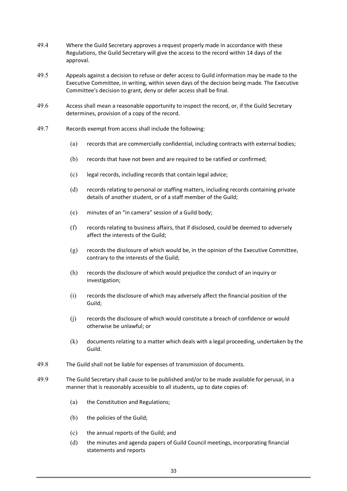- 49.4 Where the Guild Secretary approves a request properly made in accordance with these Regulations, the Guild Secretary will give the access to the record within 14 days of the approval.
- 49.5 Appeals against a decision to refuse or defer access to Guild information may be made to the Executive Committee, in writing, within seven days of the decision being made. The Executive Committee's decision to grant, deny or defer access shall be final.
- 49.6 Access shall mean a reasonable opportunity to inspect the record, or, if the Guild Secretary determines, provision of a copy of the record.
- 49.7 Records exempt from access shall include the following:
	- (a) records that are commercially confidential, including contracts with external bodies;
	- (b) records that have not been and are required to be ratified or confirmed;
	- (c) legal records, including records that contain legal advice;
	- (d) records relating to personal or staffing matters, including records containing private details of another student, or of a staff member of the Guild;
	- (e) minutes of an "in camera" session of a Guild body;
	- (f) records relating to business affairs, that if disclosed, could be deemed to adversely affect the interests of the Guild;
	- (g) records the disclosure of which would be, in the opinion of the Executive Committee, contrary to the interests of the Guild;
	- (h) records the disclosure of which would prejudice the conduct of an inquiry or investigation;
	- (i) records the disclosure of which may adversely affect the financial position of the Guild;
	- (j) records the disclosure of which would constitute a breach of confidence or would otherwise be unlawful; or
	- (k) documents relating to a matter which deals with a legal proceeding, undertaken by the Guild.
- 49.8 The Guild shall not be liable for expenses of transmission of documents.
- 49.9 The Guild Secretary shall cause to be published and/or to be made available for perusal, in a manner that is reasonably accessible to all students, up to date copies of:
	- (a) the Constitution and Regulations;
	- (b) the policies of the Guild;
	- (c) the annual reports of the Guild; and
	- (d) the minutes and agenda papers of Guild Council meetings, incorporating financial statements and reports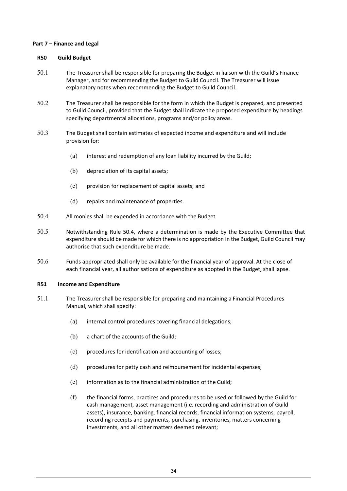#### **Part 7 – Finance and Legal**

#### **R50 Guild Budget**

- 50.1 The Treasurer shall be responsible for preparing the Budget in liaison with the Guild's Finance Manager, and for recommending the Budget to Guild Council. The Treasurer will issue explanatory notes when recommending the Budget to Guild Council.
- 50.2 The Treasurer shall be responsible for the form in which the Budget is prepared, and presented to Guild Council, provided that the Budget shall indicate the proposed expenditure by headings specifying departmental allocations, programs and/or policy areas.
- 50.3 The Budget shall contain estimates of expected income and expenditure and will include provision for:
	- (a) interest and redemption of any loan liability incurred by the Guild;
	- (b) depreciation of its capital assets;
	- (c) provision for replacement of capital assets; and
	- (d) repairs and maintenance of properties.
- 50.4 All monies shall be expended in accordance with the Budget.
- 50.5 Notwithstanding Rule 50.4, where a determination is made by the Executive Committee that expenditure should be made for which there is no appropriation in the Budget, Guild Council may authorise that such expenditure be made.
- 50.6 Funds appropriated shall only be available for the financial year of approval. At the close of each financial year, all authorisations of expenditure as adopted in the Budget, shall lapse.

#### **R51 Income and Expenditure**

- 51.1 The Treasurer shall be responsible for preparing and maintaining a Financial Procedures Manual, which shall specify:
	- (a) internal control procedures covering financial delegations;
	- (b) a chart of the accounts of the Guild;
	- (c) procedures for identification and accounting of losses;
	- (d) procedures for petty cash and reimbursement for incidental expenses;
	- (e) information as to the financial administration of the Guild;
	- (f) the financial forms, practices and procedures to be used or followed by the Guild for cash management, asset management (i.e. recording and administration of Guild assets), insurance, banking, financial records, financial information systems, payroll, recording receipts and payments, purchasing, inventories, matters concerning investments, and all other matters deemed relevant;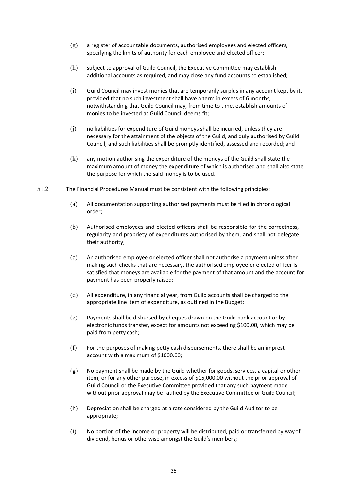- (g) a register of accountable documents, authorised employees and elected officers, specifying the limits of authority for each employee and elected officer;
- (h) subject to approval of Guild Council, the Executive Committee may establish additional accounts as required, and may close any fund accounts so established;
- (i) Guild Council may invest monies that are temporarily surplus in any account kept by it, provided that no such investment shall have a term in excess of 6 months, notwithstanding that Guild Council may, from time to time, establish amounts of monies to be invested as Guild Council deems fit;
- (j) no liabilities for expenditure of Guild moneys shall be incurred, unless they are necessary for the attainment of the objects of the Guild, and duly authorised by Guild Council, and such liabilities shall be promptly identified, assessed and recorded; and
- (k) any motion authorising the expenditure of the moneys of the Guild shall state the maximum amount of money the expenditure of which is authorised and shall also state the purpose for which the said money is to be used.
- 51.2 The Financial Procedures Manual must be consistent with the following principles:
	- (a) All documentation supporting authorised payments must be filed in chronological order;
	- (b) Authorised employees and elected officers shall be responsible for the correctness, regularity and propriety of expenditures authorised by them, and shall not delegate their authority;
	- (c) An authorised employee or elected officer shall not authorise a payment unless after making such checks that are necessary, the authorised employee or elected officer is satisfied that moneys are available for the payment of that amount and the account for payment has been properly raised;
	- (d) All expenditure, in any financial year, from Guild accounts shall be charged to the appropriate line item of expenditure, as outlined in the Budget;
	- (e) Payments shall be disbursed by cheques drawn on the Guild bank account or by electronic funds transfer, except for amounts not exceeding \$100.00, which may be paid from petty cash;
	- (f) For the purposes of making petty cash disbursements, there shall be an imprest account with a maximum of \$1000.00;
	- (g) No payment shall be made by the Guild whether for goods, services, a capital or other item, or for any other purpose, in excess of \$15,000.00 without the prior approval of Guild Council or the Executive Committee provided that any such payment made without prior approval may be ratified by the Executive Committee or Guild Council;
	- (h) Depreciation shall be charged at a rate considered by the Guild Auditor to be appropriate;
	- (i) No portion of the income or property will be distributed, paid or transferred by wayof dividend, bonus or otherwise amongst the Guild's members;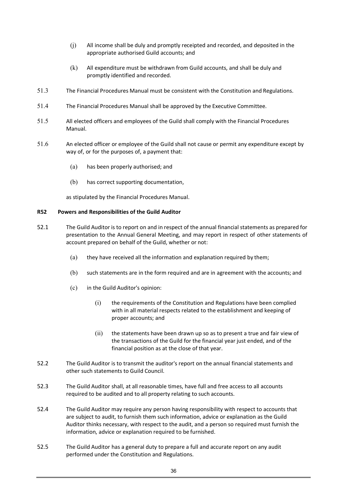- (j) All income shall be duly and promptly receipted and recorded, and deposited in the appropriate authorised Guild accounts; and
- (k) All expenditure must be withdrawn from Guild accounts, and shall be duly and promptly identified and recorded.
- 51.3 The Financial Procedures Manual must be consistent with the Constitution and Regulations.
- 51.4 The Financial Procedures Manual shall be approved by the Executive Committee.
- 51.5 All elected officers and employees of the Guild shall comply with the Financial Procedures Manual.
- 51.6 An elected officer or employee of the Guild shall not cause or permit any expenditure except by way of, or for the purposes of, a payment that:
	- (a) has been properly authorised; and
	- (b) has correct supporting documentation,

as stipulated by the Financial Procedures Manual.

# **R52 Powers and Responsibilities of the Guild Auditor**

- 52.1 The Guild Auditor is to report on and in respect of the annual financial statements as prepared for presentation to the Annual General Meeting, and may report in respect of other statements of account prepared on behalf of the Guild, whether or not:
	- (a) they have received all the information and explanation required by them;
	- (b) such statements are in the form required and are in agreement with the accounts; and
	- (c) in the Guild Auditor's opinion:
		- (i) the requirements of the Constitution and Regulations have been complied with in all material respects related to the establishment and keeping of proper accounts; and
		- (ii) the statements have been drawn up so as to present a true and fair view of the transactions of the Guild for the financial year just ended, and of the financial position as at the close of that year.
- 52.2 The Guild Auditor is to transmit the auditor's report on the annual financial statements and other such statements to Guild Council.
- 52.3 The Guild Auditor shall, at all reasonable times, have full and free access to all accounts required to be audited and to all property relating to such accounts.
- 52.4 The Guild Auditor may require any person having responsibility with respect to accounts that are subject to audit, to furnish them such information, advice or explanation as the Guild Auditor thinks necessary, with respect to the audit, and a person so required must furnish the information, advice or explanation required to be furnished.
- 52.5 The Guild Auditor has a general duty to prepare a full and accurate report on any audit performed under the Constitution and Regulations.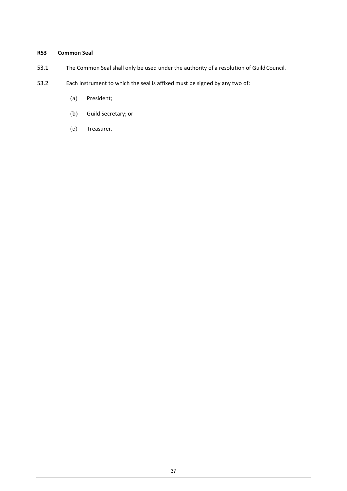# **R53 Common Seal**

- 53.1 The Common Seal shall only be used under the authority of a resolution of Guild Council.
- 53.2 Each instrument to which the seal is affixed must be signed by any two of:
	- (a) President;
	- (b) Guild Secretary; or
	- (c) Treasurer.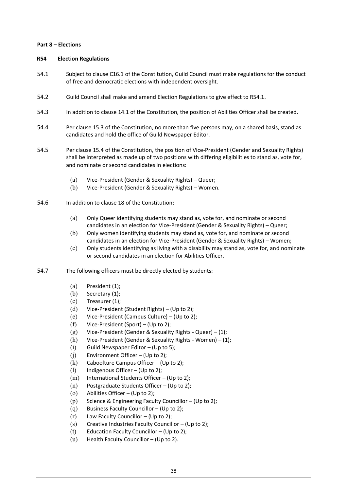## **Part 8 – Elections**

## **R54 Election Regulations**

- 54.1 Subject to clause C16.1 of the Constitution, Guild Council must make regulations for the conduct of free and democratic elections with independent oversight.
- 54.2 Guild Council shall make and amend Election Regulations to give effect to R54.1.
- 54.3 In addition to clause 14.1 of the Constitution, the position of Abilities Officer shall be created.
- 54.4 Per clause 15.3 of the Constitution, no more than five persons may, on a shared basis, stand as candidates and hold the office of Guild Newspaper Editor.
- 54.5 Per clause 15.4 of the Constitution, the position of Vice-President (Gender and Sexuality Rights) shall be interpreted as made up of two positions with differing eligibilities to stand as, vote for, and nominate or second candidates in elections:
	- (a) Vice-President (Gender & Sexuality Rights) Queer;
	- (b) Vice-President (Gender & Sexuality Rights) Women.
- 54.6 In addition to clause 18 of the Constitution:
	- (a) Only Queer identifying students may stand as, vote for, and nominate or second candidates in an election for Vice-President (Gender & Sexuality Rights) – Queer;
	- (b) Only women identifying students may stand as, vote for, and nominate or second candidates in an election for Vice-President (Gender & Sexuality Rights) – Women;
	- (c) Only students identifying as living with a disability may stand as, vote for, and nominate or second candidates in an election for Abilities Officer.
- 54.7 The following officers must be directly elected by students:
	- (a) President (1);
	- (b) Secretary (1);
	- $(c)$  Treasurer  $(1)$ ;
	- (d) Vice-President (Student Rights) (Up to 2);
	- (e) Vice-President (Campus Culture) (Up to 2);
	- (f) Vice-President (Sport) (Up to 2);
	- $(g)$  Vice-President (Gender & Sexuality Rights Queer) (1);
	- (h) Vice-President (Gender & Sexuality Rights Women) (1);
	- (i) Guild Newspaper Editor (Up to 5);
	- $(i)$  Environment Officer (Up to 2);
	- $(k)$  Caboolture Campus Officer (Up to 2);
	- (1) Indigenous Officer (Up to 2);
	- (m) International Students Officer (Up to 2);
	- (n) Postgraduate Students Officer (Up to 2);
	- (o) Abilities Officer (Up to 2);
	- (p) Science & Engineering Faculty Councillor (Up to 2);
	- (q) Business Faculty Councillor (Up to 2);
	- $(r)$  Law Faculty Councillor (Up to 2);
	- (s) Creative Industries Faculty Councillor (Up to 2);
	- (t) Education Faculty Councillor (Up to 2);
	- (u) Health Faculty Councillor (Up to 2).